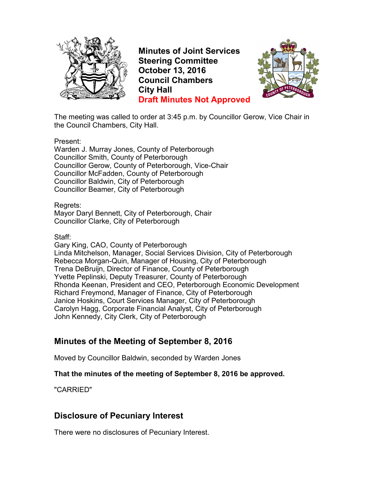

**Minutes of Joint Services Steering Committee October 13, 2016 Council Chambers City Hall Draft Minutes Not Approved**



The meeting was called to order at 3:45 p.m. by Councillor Gerow, Vice Chair in the Council Chambers, City Hall.

Present:

Warden J. Murray Jones, County of Peterborough Councillor Smith, County of Peterborough Councillor Gerow, County of Peterborough, Vice-Chair Councillor McFadden, County of Peterborough Councillor Baldwin, City of Peterborough Councillor Beamer, City of Peterborough

Regrets:

Mayor Daryl Bennett, City of Peterborough, Chair Councillor Clarke, City of Peterborough

Staff:

Gary King, CAO, County of Peterborough Linda Mitchelson, Manager, Social Services Division, City of Peterborough Rebecca Morgan-Quin, Manager of Housing, City of Peterborough Trena DeBruijn, Director of Finance, County of Peterborough Yvette Peplinski, Deputy Treasurer, County of Peterborough Rhonda Keenan, President and CEO, Peterborough Economic Development Richard Freymond, Manager of Finance, City of Peterborough Janice Hoskins, Court Services Manager, City of Peterborough Carolyn Hagg, Corporate Financial Analyst, City of Peterborough John Kennedy, City Clerk, City of Peterborough

# **Minutes of the Meeting of September 8, 2016**

Moved by Councillor Baldwin, seconded by Warden Jones

#### **That the minutes of the meeting of September 8, 2016 be approved.**

"CARRIED"

### **Disclosure of Pecuniary Interest**

There were no disclosures of Pecuniary Interest.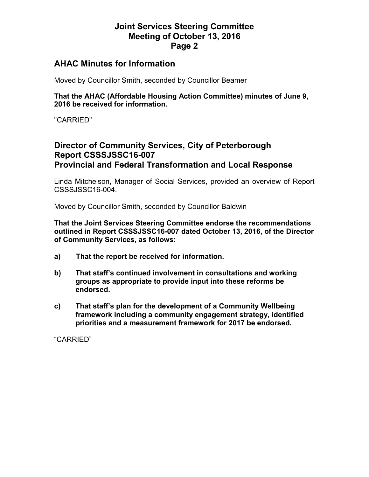### **AHAC Minutes for Information**

Moved by Councillor Smith, seconded by Councillor Beamer

**That the AHAC (Affordable Housing Action Committee) minutes of June 9, 2016 be received for information.** 

"CARRIED"

# **Director of Community Services, City of Peterborough Report CSSSJSSC16-007 Provincial and Federal Transformation and Local Response**

Linda Mitchelson, Manager of Social Services, provided an overview of Report CSSSJSSC16-004.

Moved by Councillor Smith, seconded by Councillor Baldwin

**That the Joint Services Steering Committee endorse the recommendations outlined in Report CSSSJSSC16-007 dated October 13, 2016, of the Director of Community Services, as follows:** 

- **a) That the report be received for information.**
- **b) That staff's continued involvement in consultations and working groups as appropriate to provide input into these reforms be endorsed.**
- **c) That staff's plan for the development of a Community Wellbeing framework including a community engagement strategy, identified priorities and a measurement framework for 2017 be endorsed.**

"CARRIED"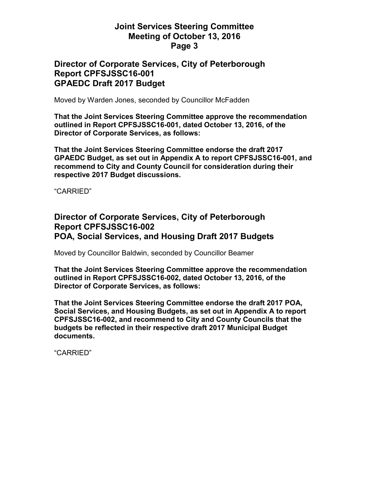### **Director of Corporate Services, City of Peterborough Report CPFSJSSC16-001 GPAEDC Draft 2017 Budget**

Moved by Warden Jones, seconded by Councillor McFadden

**That the Joint Services Steering Committee approve the recommendation outlined in Report CPFSJSSC16-001, dated October 13, 2016, of the Director of Corporate Services, as follows:** 

**That the Joint Services Steering Committee endorse the draft 2017 GPAEDC Budget, as set out in Appendix A to report CPFSJSSC16-001, and recommend to City and County Council for consideration during their respective 2017 Budget discussions.** 

"CARRIED"

## **Director of Corporate Services, City of Peterborough Report CPFSJSSC16-002 POA, Social Services, and Housing Draft 2017 Budgets**

Moved by Councillor Baldwin, seconded by Councillor Beamer

**That the Joint Services Steering Committee approve the recommendation outlined in Report CPFSJSSC16-002, dated October 13, 2016, of the Director of Corporate Services, as follows:** 

**That the Joint Services Steering Committee endorse the draft 2017 POA, Social Services, and Housing Budgets, as set out in Appendix A to report CPFSJSSC16-002, and recommend to City and County Councils that the budgets be reflected in their respective draft 2017 Municipal Budget documents.** 

"CARRIED"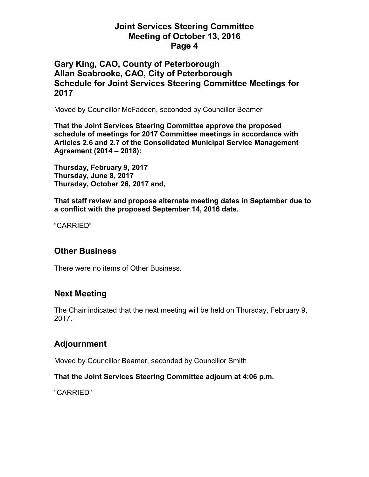## **Gary King, CAO, County of Peterborough Allan Seabrooke, CAO, City of Peterborough Schedule for Joint Services Steering Committee Meetings for 2017**

Moved by Councillor McFadden, seconded by Councillor Beamer

**That the Joint Services Steering Committee approve the proposed schedule of meetings for 2017 Committee meetings in accordance with Articles 2.6 and 2.7 of the Consolidated Municipal Service Management Agreement (2014 – 2018):** 

**Thursday, February 9, 2017 Thursday, June 8, 2017 Thursday, October 26, 2017 and,** 

**That staff review and propose alternate meeting dates in September due to a conflict with the proposed September 14, 2016 date.** 

"CARRIED"

### **Other Business**

There were no items of Other Business.

### **Next Meeting**

The Chair indicated that the next meeting will be held on Thursday, February 9, 2017.

# **Adjournment**

Moved by Councillor Beamer, seconded by Councillor Smith

#### **That the Joint Services Steering Committee adjourn at 4:06 p.m.**

"CARRIED"